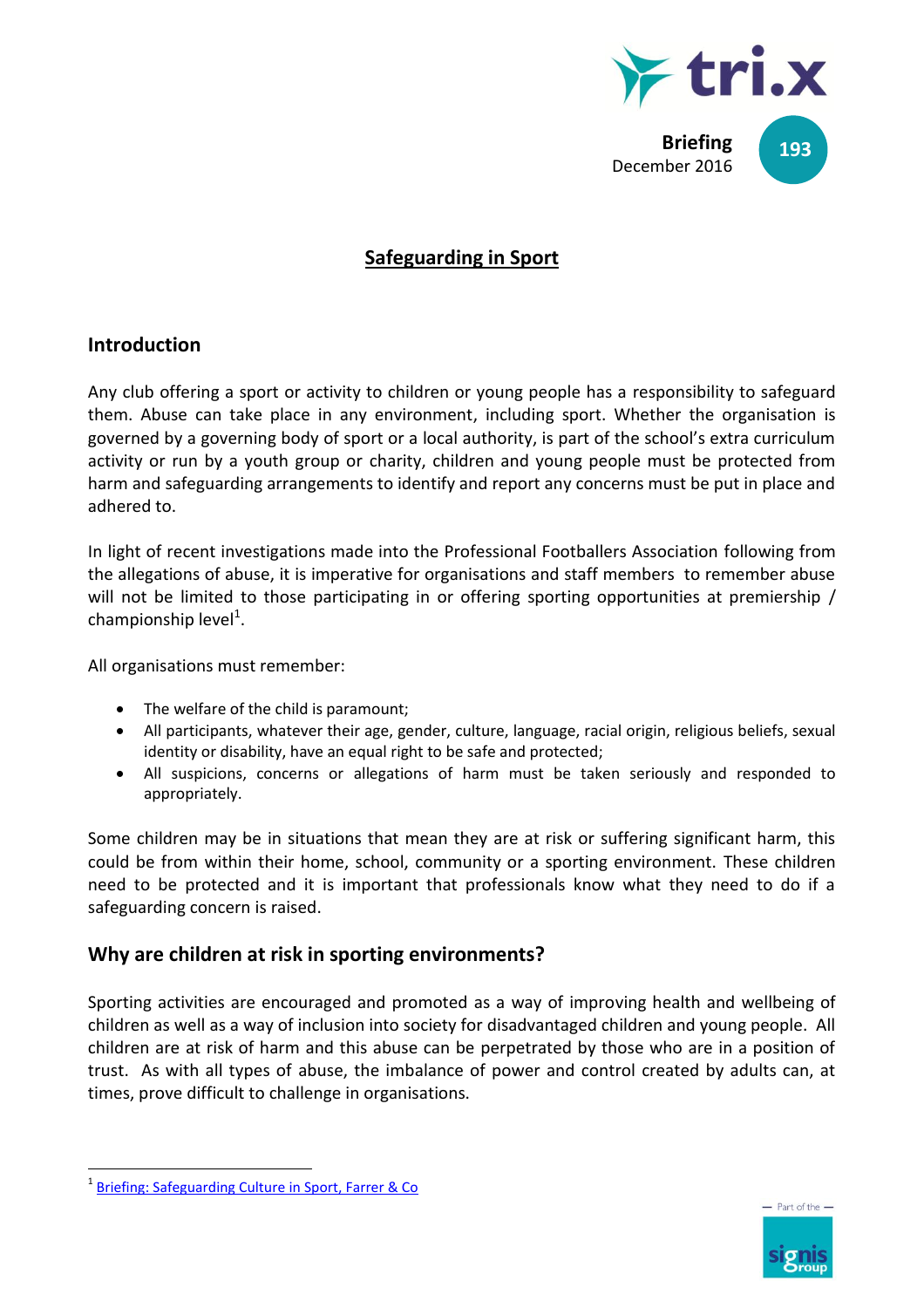

# **Safeguarding in Sport**

## **Introduction**

Any club offering a sport or activity to children or young people has a responsibility to safeguard them. Abuse can take place in any environment, including sport. Whether the organisation is governed by a governing body of sport or a local authority, is part of the school's extra curriculum activity or run by a youth group or charity, children and young people must be protected from harm and safeguarding arrangements to identify and report any concerns must be put in place and adhered to.

In light of recent investigations made into the Professional Footballers Association following from the allegations of abuse, it is imperative for organisations and staff members to remember abuse will not be limited to those participating in or offering sporting opportunities at premiership / championship level $^{1}$ .

All organisations must remember:

- The welfare of the child is paramount;
- All participants, whatever their age, gender, culture, language, racial origin, religious beliefs, sexual identity or disability, have an equal right to be safe and protected;
- All suspicions, concerns or allegations of harm must be taken seriously and responded to appropriately.

Some children may be in situations that mean they are at risk or suffering significant harm, this could be from within their home, school, community or a sporting environment. These children need to be protected and it is important that professionals know what they need to do if a safeguarding concern is raised.

# **Why are children at risk in sporting environments?**

Sporting activities are encouraged and promoted as a way of improving health and wellbeing of children as well as a way of inclusion into society for disadvantaged children and young people. All children are at risk of harm and this abuse can be perpetrated by those who are in a position of trust. As with all types of abuse, the imbalance of power and control created by adults can, at times, prove difficult to challenge in organisations.

 $\overline{a}$ 



<sup>&</sup>lt;sup>1</sup> [Briefing: Safeguarding Culture in Sport, Farrer & Co](http://www.farrer.co.uk/News/Briefings/Safeguarding-Culture-in-Sport/?utm_source=vuture&utm_medium=email&utm_campaign=cpu%20briefing:%20safeguarding%20culture%20in%20sport)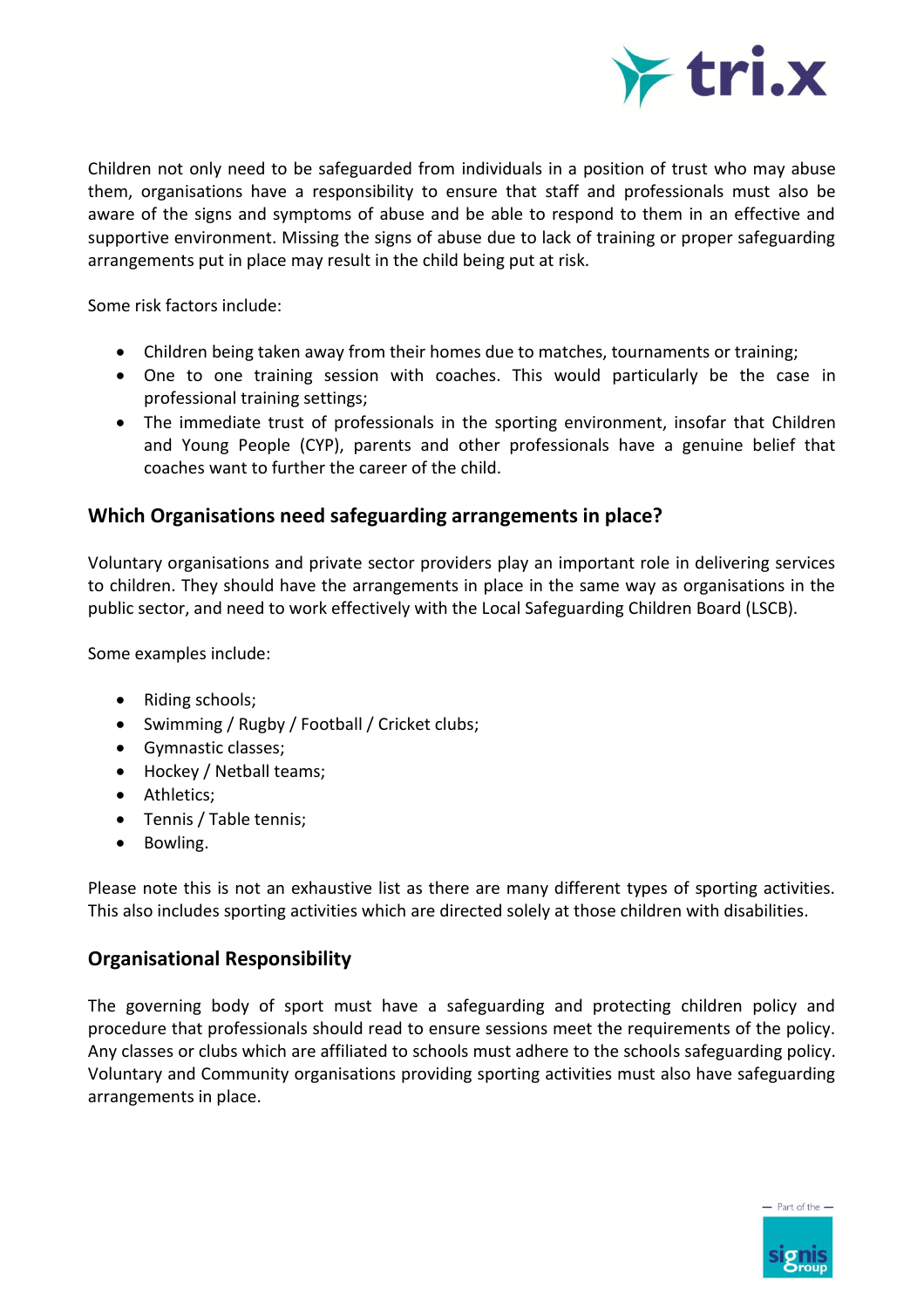

Children not only need to be safeguarded from individuals in a position of trust who may abuse them, organisations have a responsibility to ensure that staff and professionals must also be aware of the signs and symptoms of abuse and be able to respond to them in an effective and supportive environment. Missing the signs of abuse due to lack of training or proper safeguarding arrangements put in place may result in the child being put at risk.

Some risk factors include:

- Children being taken away from their homes due to matches, tournaments or training;
- One to one training session with coaches. This would particularly be the case in professional training settings;
- The immediate trust of professionals in the sporting environment, insofar that Children and Young People (CYP), parents and other professionals have a genuine belief that coaches want to further the career of the child.

#### **Which Organisations need safeguarding arrangements in place?**

Voluntary organisations and private sector providers play an important role in delivering services to children. They should have the arrangements in place in the same way as organisations in the public sector, and need to work effectively with the Local Safeguarding Children Board (LSCB).

Some examples include:

- Riding schools;
- Swimming / Rugby / Football / Cricket clubs;
- Gymnastic classes;
- Hockey / Netball teams;
- Athletics:
- Tennis / Table tennis;
- Bowling.

Please note this is not an exhaustive list as there are many different types of sporting activities. This also includes sporting activities which are directed solely at those children with disabilities.

### **Organisational Responsibility**

The governing body of sport must have a safeguarding and protecting children policy and procedure that professionals should read to ensure sessions meet the requirements of the policy. Any classes or clubs which are affiliated to schools must adhere to the schools safeguarding policy. Voluntary and Community organisations providing sporting activities must also have safeguarding arrangements in place.

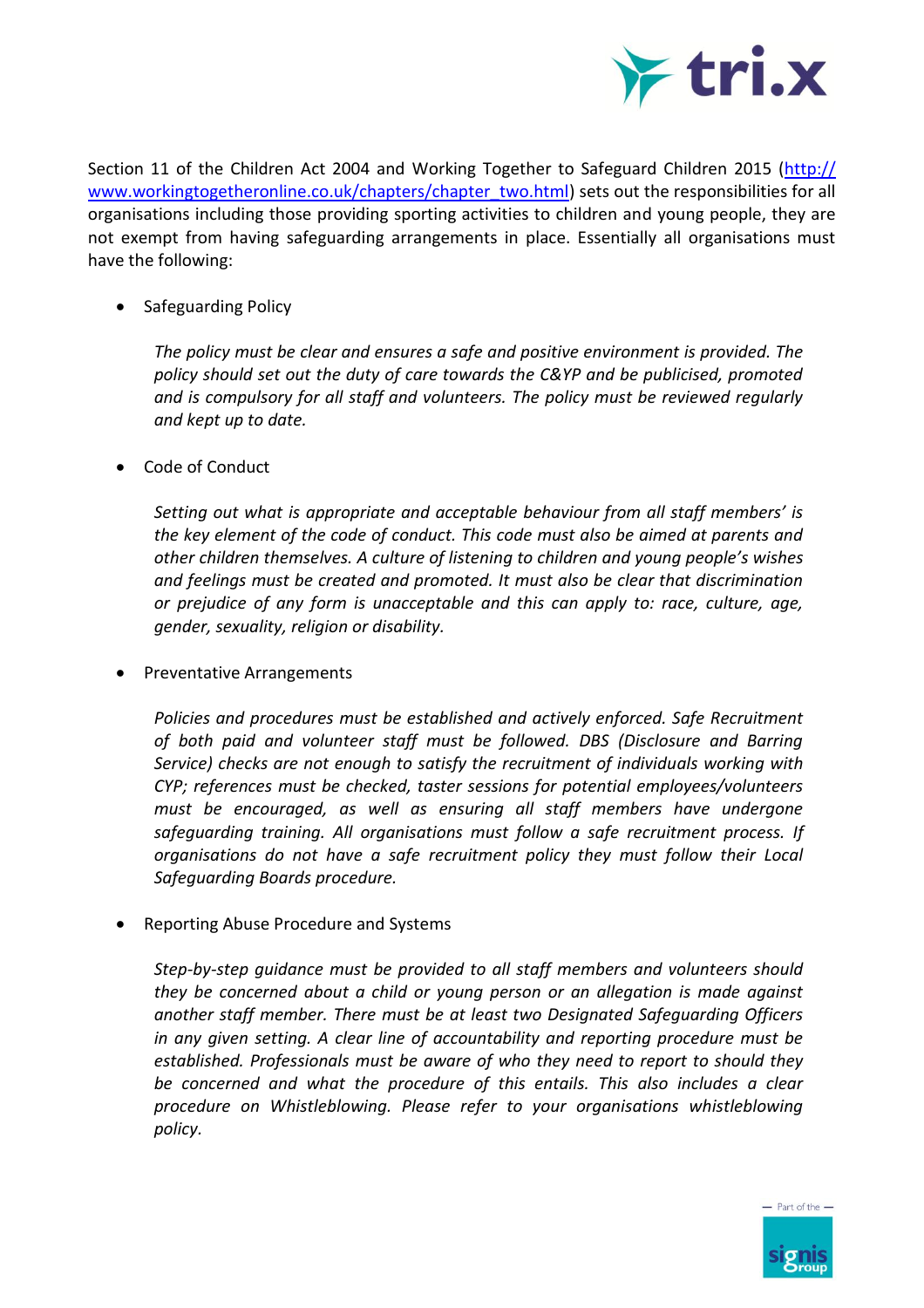

Section 11 of the Children Act 2004 and Working Together to Safeguard Children 2015 [\(http://](http://www.workingtogetheronline.co.uk/chapters/chapter_two.html) [www.workingtogetheronline.co.uk/chapters/chapter\\_two.html\)](http://www.workingtogetheronline.co.uk/chapters/chapter_two.html) sets out the responsibilities for all organisations including those providing sporting activities to children and young people, they are not exempt from having safeguarding arrangements in place. Essentially all organisations must have the following:

• Safeguarding Policy

*The policy must be clear and ensures a safe and positive environment is provided. The policy should set out the duty of care towards the C&YP and be publicised, promoted and is compulsory for all staff and volunteers. The policy must be reviewed regularly and kept up to date.* 

Code of Conduct

*Setting out what is appropriate and acceptable behaviour from all staff members' is the key element of the code of conduct. This code must also be aimed at parents and other children themselves. A culture of listening to children and young people's wishes and feelings must be created and promoted. It must also be clear that discrimination or prejudice of any form is unacceptable and this can apply to: race, culture, age, gender, sexuality, religion or disability.*

Preventative Arrangements

*Policies and procedures must be established and actively enforced. Safe Recruitment of both paid and volunteer staff must be followed. DBS (Disclosure and Barring Service) checks are not enough to satisfy the recruitment of individuals working with CYP; references must be checked, taster sessions for potential employees/volunteers must be encouraged, as well as ensuring all staff members have undergone safeguarding training. All organisations must follow a safe recruitment process. If organisations do not have a safe recruitment policy they must follow their Local Safeguarding Boards procedure.* 

• Reporting Abuse Procedure and Systems

*Step-by-step guidance must be provided to all staff members and volunteers should they be concerned about a child or young person or an allegation is made against another staff member. There must be at least two Designated Safeguarding Officers in any given setting. A clear line of accountability and reporting procedure must be established. Professionals must be aware of who they need to report to should they be concerned and what the procedure of this entails. This also includes a clear procedure on Whistleblowing. Please refer to your organisations whistleblowing policy.*

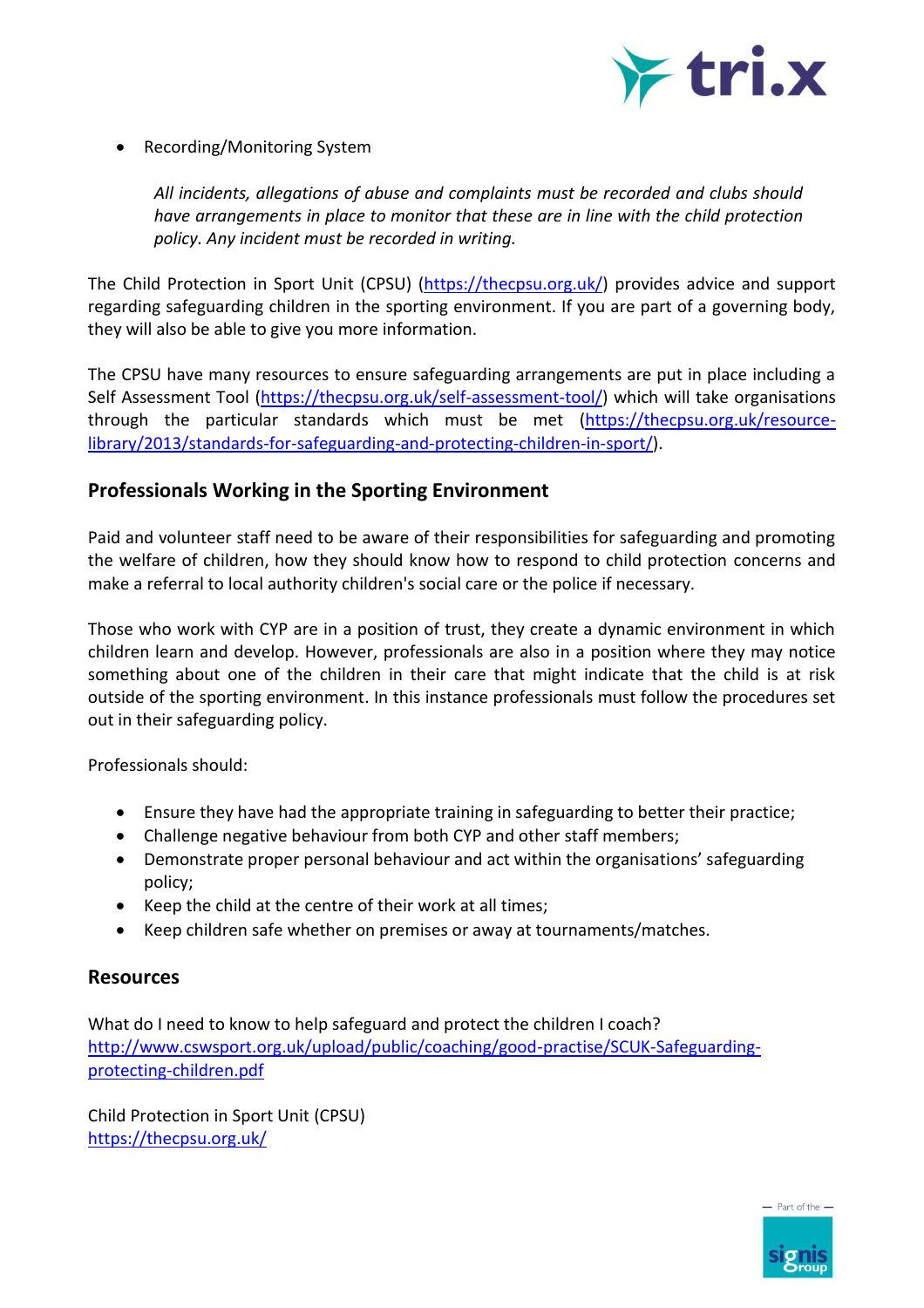

• Recording/Monitoring System

*All incidents, allegations of abuse and complaints must be recorded and clubs should have arrangements in place to monitor that these are in line with the child protection policy. Any incident must be recorded in writing.*

The Child Protection in Sport Unit (CPSU) [\(https://thecpsu.org.uk/\)](https://thecpsu.org.uk/) provides advice and support regarding safeguarding children in the sporting environment. If you are part of a governing body, they will also be able to give you more information.

The CPSU have many resources to ensure safeguarding arrangements are put in place including a Self Assessment Tool [\(https://thecpsu.org.uk/self-assessment-tool/\)](https://thecpsu.org.uk/self-assessment-tool/) which will take organisations through the particular standards which must be met [\(https://thecpsu.org.uk/resource](https://thecpsu.org.uk/resource-library/2013/standards-for-safeguarding-and-protecting-children-in-sport/)[library/2013/standards-for-safeguarding-and-protecting-children-in-sport/\)](https://thecpsu.org.uk/resource-library/2013/standards-for-safeguarding-and-protecting-children-in-sport/).

#### **Professionals Working in the Sporting Environment**

Paid and volunteer staff need to be aware of their responsibilities for safeguarding and promoting the welfare of children, how they should know how to respond to child protection concerns and make a referral to local authority children's social care or the police if necessary.

Those who work with CYP are in a position of trust, they create a dynamic environment in which children learn and develop. However, professionals are also in a position where they may notice something about one of the children in their care that might indicate that the child is at risk outside of the sporting environment. In this instance professionals must follow the procedures set out in their safeguarding policy.

Professionals should:

- Ensure they have had the appropriate training in safeguarding to better their practice;
- Challenge negative behaviour from both CYP and other staff members;
- Demonstrate proper personal behaviour and act within the organisations' safeguarding policy;
- Keep the child at the centre of their work at all times;
- Keep children safe whether on premises or away at tournaments/matches.

### **Resources**

What do I need to know to help safeguard and protect the children I coach? [http://www.cswsport.org.uk/upload/public/coaching/good-practise/SCUK-Safeguarding](http://www.cswsport.org.uk/upload/public/coaching/good-practise/SCUK-Safeguarding-protecting-children.pdf)[protecting-children.pdf](http://www.cswsport.org.uk/upload/public/coaching/good-practise/SCUK-Safeguarding-protecting-children.pdf)

Child Protection in Sport Unit (CPSU) <https://thecpsu.org.uk/>



 $-$  Part of the  $-$